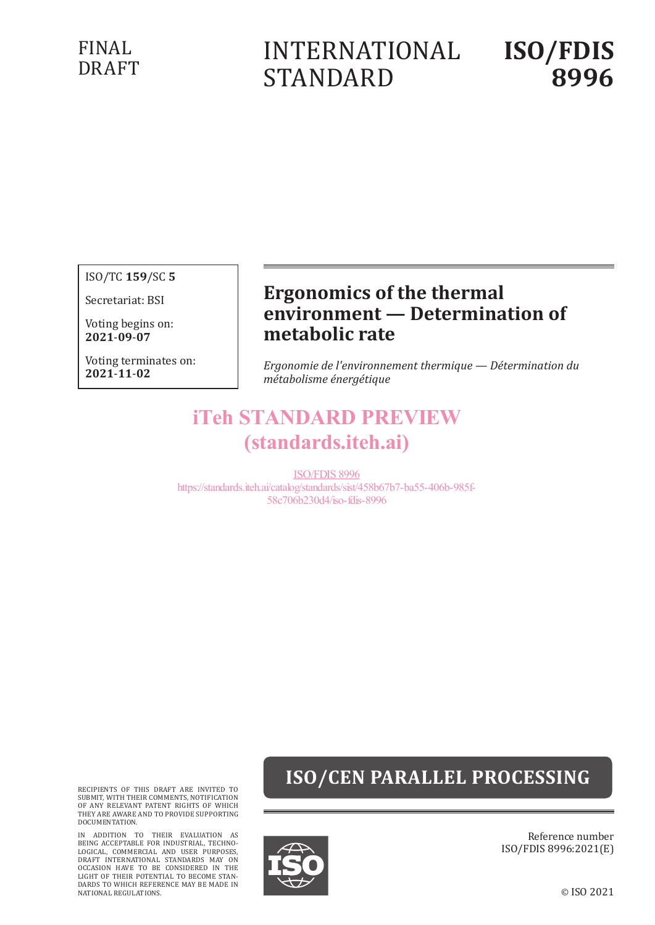### FINAL DRAFT

# INTERNATIONAL STANDARD

# **ISO/FDIS 8996**

ISO/TC **159**/SC **5**

Secretariat: BSI

Voting begins on: **2021**-**09**-**07**

Voting terminates on: **2021**-**11**-**02**

### **Ergonomics of the thermal environment — Determination of metabolic rate**

*Ergonomie de l'environnement thermique — Détermination du métabolisme énergétique*

## iTeh STANDARD PREVIEW (standards.iteh.ai)

ISO/FDIS 8996 https://standards.iteh.ai/catalog/standards/sist/458b67b7-ba55-406b-985f-58c706b230d4/iso-fdis-8996

## **ISO/CEN PARALLEL PROCESSING**

RECIPIENTS OF THIS DRAFT ARE INVITED TO SUBMIT, WITH THEIR COMMENTS, NOTIFICATION OF ANY RELEVANT PATENT RIGHTS OF WHICH THEY ARE AWARE AND TO PROVIDE SUPPORTING DOCUMENTATION.

IN ADDITION TO THEIR EVALUATION AS<br>BEING ACCEPTABLE FOR INDUSTRIAL, TECHNO-<br>LOGICAL, COMMERCIAL AND USER PURPOSES,<br>DRAFT INTERNATIONAL STANDARDS MAY ON<br>OCCASION HAVE TO BE CONSIDERED IN THE<br>LIGHT OF THEIR POTENTIAL TO BECO DARDS TO WHICH REFERENCE MAY BE MADE IN NATIONAL REGULATIONS.



Reference number ISO/FDIS 8996:2021(E)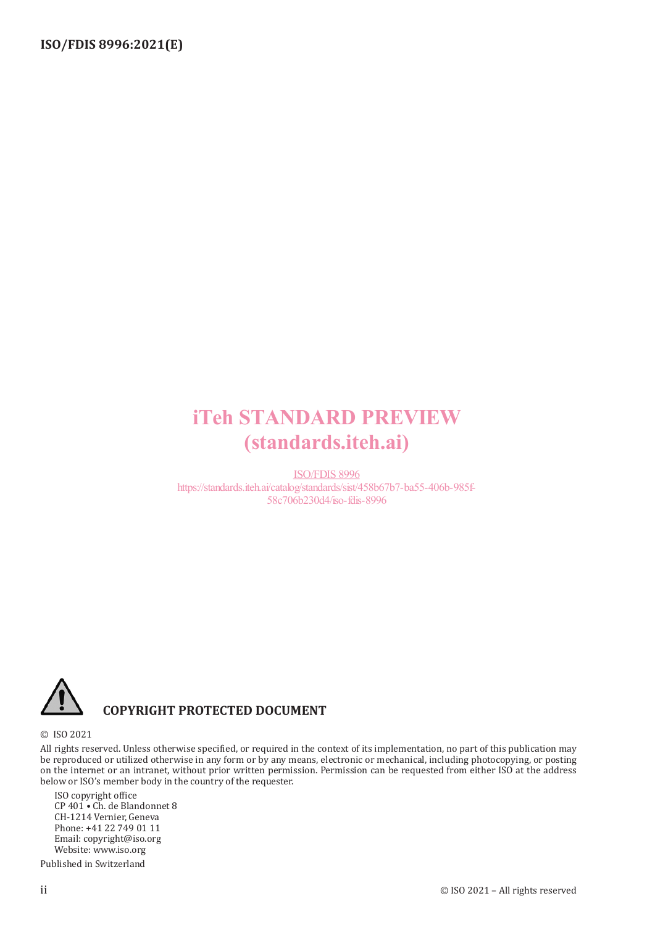## iTeh STANDARD PREVIEW (standards.iteh.ai)

ISO/FDIS 8996 https://standards.iteh.ai/catalog/standards/sist/458b67b7-ba55-406b-985f-58c706b230d4/iso-fdis-8996



#### **COPYRIGHT PROTECTED DOCUMENT**

#### © ISO 2021

All rights reserved. Unless otherwise specified, or required in the context of its implementation, no part of this publication may be reproduced or utilized otherwise in any form or by any means, electronic or mechanical, including photocopying, or posting on the internet or an intranet, without prior written permission. Permission can be requested from either ISO at the address below or ISO's member body in the country of the requester.

ISO copyright office CP 401 • Ch. de Blandonnet 8 CH-1214 Vernier, Geneva Phone: +41 22 749 01 11 Email: copyright@iso.org Website: www.iso.org Published in Switzerland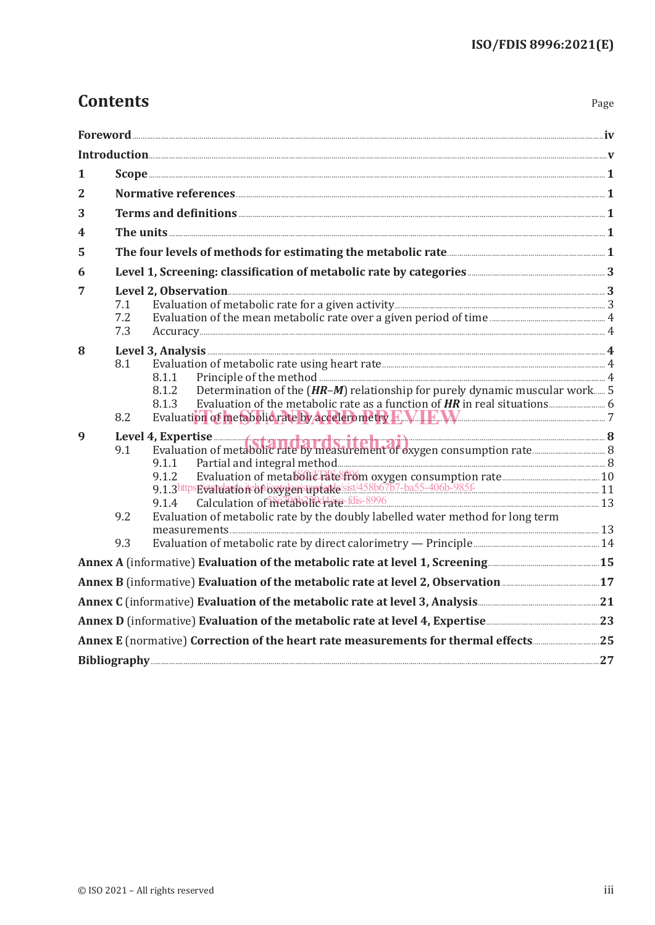### **Contents**

| $\mathbf{1}$    |                                                                                                              |                                                                                                                                |  |  |  |  |
|-----------------|--------------------------------------------------------------------------------------------------------------|--------------------------------------------------------------------------------------------------------------------------------|--|--|--|--|
| 2               |                                                                                                              |                                                                                                                                |  |  |  |  |
| 3               |                                                                                                              |                                                                                                                                |  |  |  |  |
| 4               | The units $1$                                                                                                |                                                                                                                                |  |  |  |  |
| 5               |                                                                                                              |                                                                                                                                |  |  |  |  |
| 6               |                                                                                                              |                                                                                                                                |  |  |  |  |
| 7               |                                                                                                              |                                                                                                                                |  |  |  |  |
|                 | 7.1                                                                                                          |                                                                                                                                |  |  |  |  |
|                 | 7.2<br>7.3                                                                                                   |                                                                                                                                |  |  |  |  |
|                 |                                                                                                              |                                                                                                                                |  |  |  |  |
| 8               | 8.1                                                                                                          |                                                                                                                                |  |  |  |  |
|                 |                                                                                                              | 8.1.1                                                                                                                          |  |  |  |  |
|                 |                                                                                                              | Determination of the (HR-M) relationship for purely dynamic muscular work 5<br>8.1.2                                           |  |  |  |  |
|                 |                                                                                                              | 8.1.3                                                                                                                          |  |  |  |  |
|                 | 8.2                                                                                                          |                                                                                                                                |  |  |  |  |
| 9               |                                                                                                              |                                                                                                                                |  |  |  |  |
|                 |                                                                                                              |                                                                                                                                |  |  |  |  |
|                 |                                                                                                              | 9.1.1                                                                                                                          |  |  |  |  |
|                 |                                                                                                              | 9.1.2                                                                                                                          |  |  |  |  |
|                 |                                                                                                              | 9.1.3https://wandardo.ir/biographytage/sist/458b67b7-ba55-406b-985f 2011-1-11<br>9.1.4 Calculation of metabolic Hare-fils-8996 |  |  |  |  |
|                 | 9.2                                                                                                          | Evaluation of metabolic rate by the doubly labelled water method for long term                                                 |  |  |  |  |
|                 |                                                                                                              |                                                                                                                                |  |  |  |  |
|                 | 9.3                                                                                                          |                                                                                                                                |  |  |  |  |
|                 |                                                                                                              |                                                                                                                                |  |  |  |  |
|                 |                                                                                                              |                                                                                                                                |  |  |  |  |
|                 |                                                                                                              |                                                                                                                                |  |  |  |  |
|                 | Annex D (informative) Evaluation of the metabolic rate at level 4, Expertise <b>Annex D</b> (informative) 23 |                                                                                                                                |  |  |  |  |
|                 |                                                                                                              |                                                                                                                                |  |  |  |  |
| Bibliography 27 |                                                                                                              |                                                                                                                                |  |  |  |  |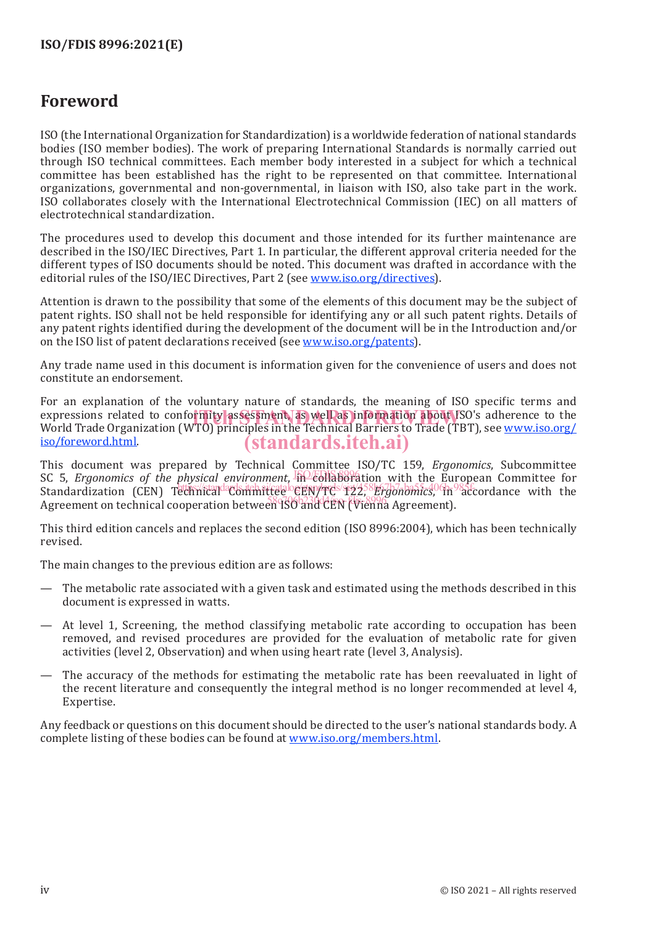### **Foreword**

ISO (the International Organization for Standardization) is a worldwide federation of national standards bodies (ISO member bodies). The work of preparing International Standards is normally carried out through ISO technical committees. Each member body interested in a subject for which a technical committee has been established has the right to be represented on that committee. International organizations, governmental and non-governmental, in liaison with ISO, also take part in the work. ISO collaborates closely with the International Electrotechnical Commission (IEC) on all matters of electrotechnical standardization.

The procedures used to develop this document and those intended for its further maintenance are described in the ISO/IEC Directives, Part 1. In particular, the different approval criteria needed for the different types of ISO documents should be noted. This document was drafted in accordance with the editorial rules of the ISO/IEC Directives, Part 2 (see www.iso.org/directives).

Attention is drawn to the possibility that some of the elements of this document may be the subject of patent rights. ISO shall not be held responsible for identifying any or all such patent rights. Details of any patent rights identified during the development of the document will be in the Introduction and/or on the ISO list of patent declarations received (see www.iso.org/patents).

Any trade name used in this document is information given for the convenience of users and does not constitute an endorsement.

For an explanation of the voluntary nature of standards, the meaning of ISO specific terms and expressions related to conformity assessment, as well as information about ISO's adherence to the<br>World Trade Organization (WTO) principles in the Technical Barriers to Trade (TBT), see www.iso.org/ World Trade Organization (WTO) principles in the Technical Barriers to Trade (TBT), see www.iso.org/ iso/foreword.html. (standards.iteh.ai)

This document was prepared by Technical Committee ISO/TC 159, *Ergonomics*, Subcommittee SC 5, *Ergonomics of the physical environment*, in collaboration with the European Committee for Standardization (CEN) Technical Committee Central Committee CEN/TC 12258b67b7-ba55567b7-ba55-5060b7-ba55-5060b Between the technical cooperation between 130 and CEN (Vienna Agreement).

This third edition cancels and replaces the second edition (ISO 8996:2004), which has been technically revised.

The main changes to the previous edition are as follows:

- The metabolic rate associated with a given task and estimated using the methods described in this document is expressed in watts.
- At level 1, Screening, the method classifying metabolic rate according to occupation has been removed, and revised procedures are provided for the evaluation of metabolic rate for given activities (level 2, Observation) and when using heart rate (level 3, Analysis).
- The accuracy of the methods for estimating the metabolic rate has been reevaluated in light of the recent literature and consequently the integral method is no longer recommended at level 4, Expertise.

Any feedback or questions on this document should be directed to the user's national standards body. A complete listing of these bodies can be found at www.iso.org/members.html.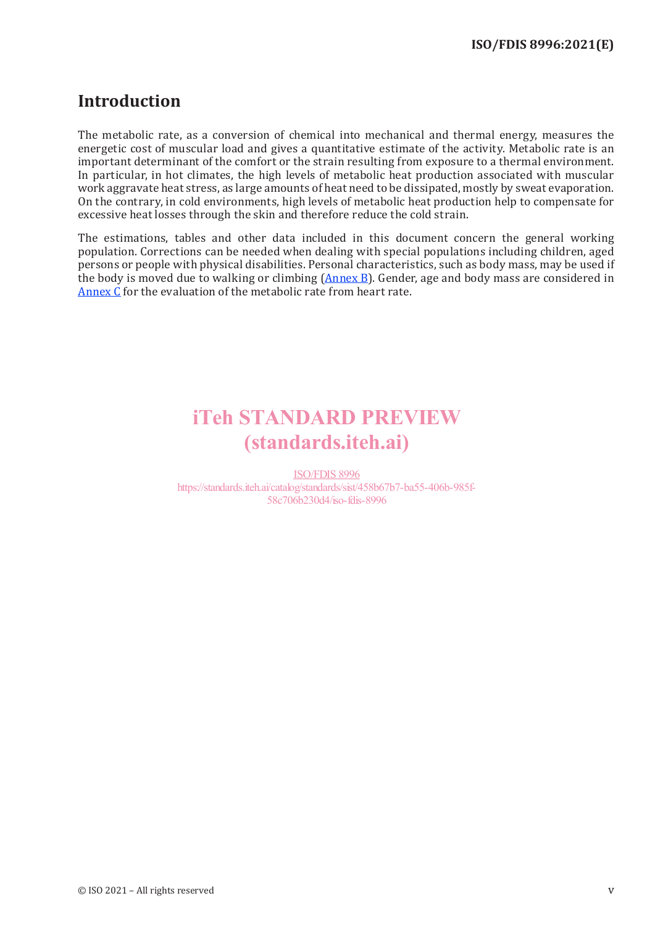### **Introduction**

The metabolic rate, as a conversion of chemical into mechanical and thermal energy, measures the energetic cost of muscular load and gives a quantitative estimate of the activity. Metabolic rate is an important determinant of the comfort or the strain resulting from exposure to a thermal environment. In particular, in hot climates, the high levels of metabolic heat production associated with muscular work aggravate heat stress, as large amounts of heat need to be dissipated, mostly by sweat evaporation. On the contrary, in cold environments, high levels of metabolic heat production help to compensate for excessive heat losses through the skin and therefore reduce the cold strain.

The estimations, tables and other data included in this document concern the general working population. Corrections can be needed when dealing with special populations including children, aged persons or people with physical disabilities. Personal characteristics, such as body mass, may be used if the body is moved due to walking or climbing  $(An \nvert B)$ . Gender, age and body mass are considered in Annex C for the evaluation of the metabolic rate from heart rate.

## iTeh STANDARD PREVIEW (standards.iteh.ai)

ISO/FDIS 8996 https://standards.iteh.ai/catalog/standards/sist/458b67b7-ba55-406b-985f-58c706b230d4/iso-fdis-8996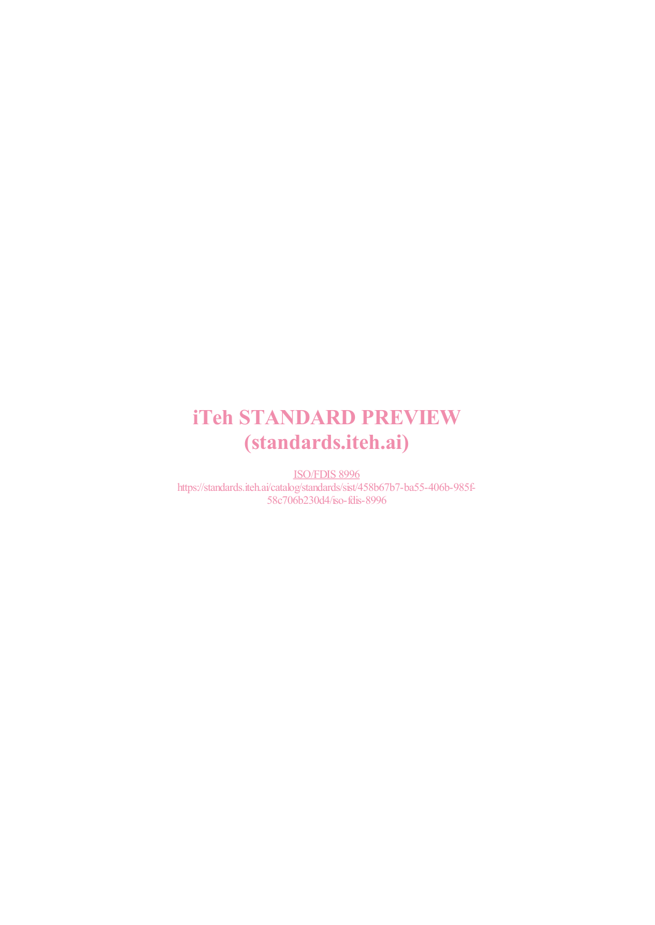## iTeh STANDARD PREVIEW (standards.iteh.ai)

ISO/FDIS 8996 https://standards.iteh.ai/catalog/standards/sist/458b67b7-ba55-406b-985f-58c706b230d4/iso-fdis-8996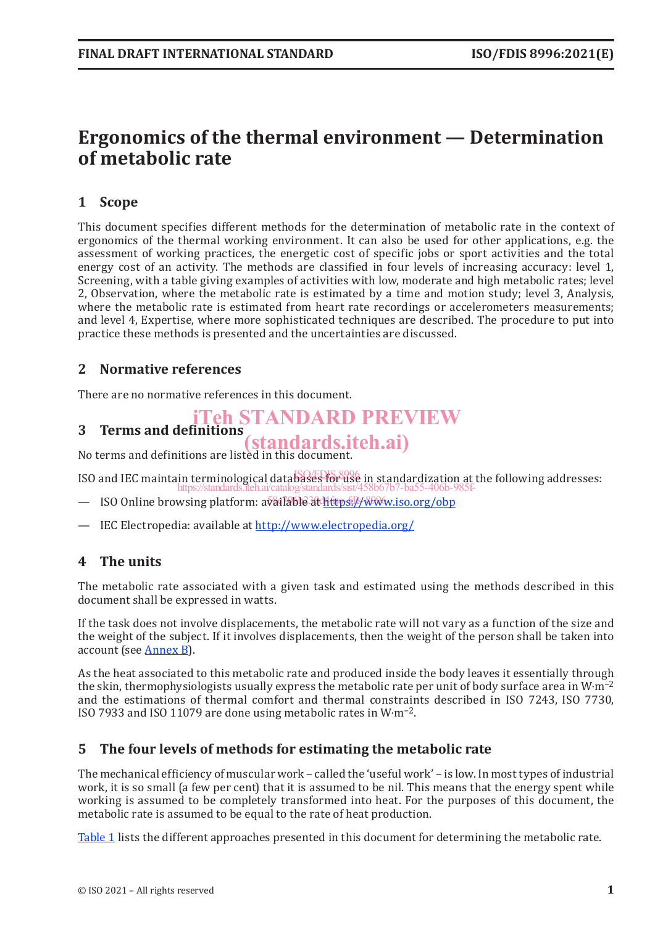### **Ergonomics of the thermal environment — Determination of metabolic rate**

#### **1 Scope**

This document specifies different methods for the determination of metabolic rate in the context of ergonomics of the thermal working environment. It can also be used for other applications, e.g. the assessment of working practices, the energetic cost of specific jobs or sport activities and the total energy cost of an activity. The methods are classified in four levels of increasing accuracy: level 1, Screening, with a table giving examples of activities with low, moderate and high metabolic rates; level 2, Observation, where the metabolic rate is estimated by a time and motion study; level 3, Analysis, where the metabolic rate is estimated from heart rate recordings or accelerometers measurements; and level 4, Expertise, where more sophisticated techniques are described. The procedure to put into practice these methods is presented and the uncertainties are discussed.

#### **2 Normative references**

There are no normative references in this document.

#### **3 Terms and definitions** iTeh STANDARD PREVIEW

No terms and definitions are listed in this document. (standards.iteh.ai)

ISO and IEC maintain terminological databases for use in standardization at the following addresses: https://standards.iteh.ai/catalog/standards/sist/458b67b7-ba55-406b-985f-

- ISO Online browsing platform: available at <u>Mütps://www.iso.org/obp</u>
- IEC Electropedia: available at http://www.electropedia.org/

#### **4 The units**

The metabolic rate associated with a given task and estimated using the methods described in this document shall be expressed in watts.

If the task does not involve displacements, the metabolic rate will not vary as a function of the size and the weight of the subject. If it involves displacements, then the weight of the person shall be taken into account (see Annex B).

As the heat associated to this metabolic rate and produced inside the body leaves it essentially through the skin, thermophysiologists usually express the metabolic rate per unit of body surface area in W⋅m−2 and the estimations of thermal comfort and thermal constraints described in ISO 7243, ISO 7730, ISO 7933 and ISO 11079 are done using metabolic rates in W⋅m−2.

#### **5 The four levels of methods for estimating the metabolic rate**

The mechanical efficiency of muscular work – called the 'useful work' – is low. In most types of industrial work, it is so small (a few per cent) that it is assumed to be nil. This means that the energy spent while working is assumed to be completely transformed into heat. For the purposes of this document, the metabolic rate is assumed to be equal to the rate of heat production.

Table 1 lists the different approaches presented in this document for determining the metabolic rate.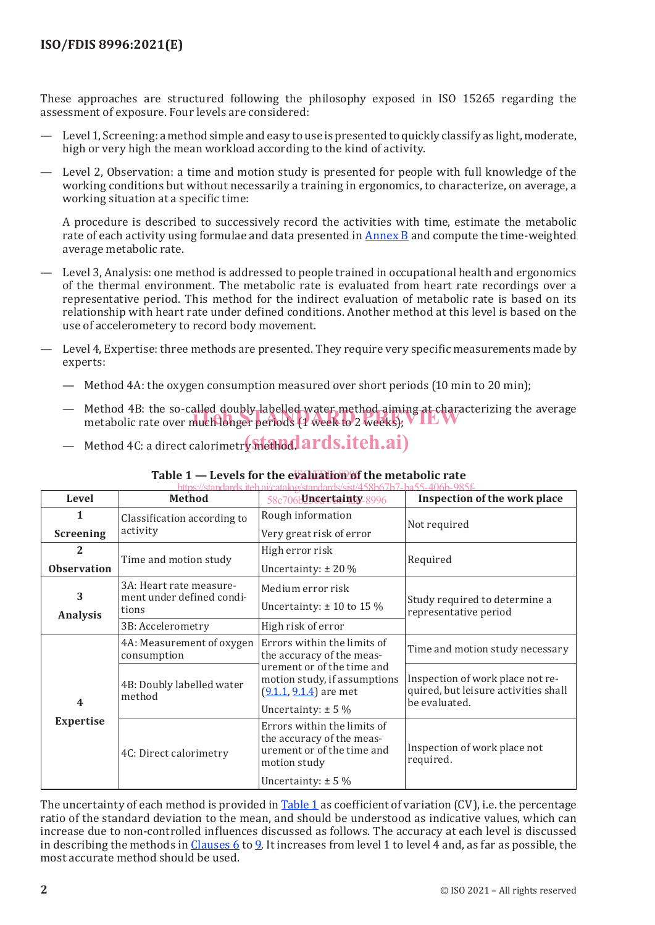These approaches are structured following the philosophy exposed in ISO 15265 regarding the assessment of exposure. Four levels are considered:

- Level 1, Screening: a method simple and easy to use is presented to quickly classify as light, moderate, high or very high the mean workload according to the kind of activity.
- Level 2, Observation: a time and motion study is presented for people with full knowledge of the working conditions but without necessarily a training in ergonomics, to characterize, on average, a working situation at a specific time:

A procedure is described to successively record the activities with time, estimate the metabolic rate of each activity using formulae and data presented in Annex B and compute the time-weighted average metabolic rate.

- Level 3, Analysis: one method is addressed to people trained in occupational health and ergonomics of the thermal environment. The metabolic rate is evaluated from heart rate recordings over a representative period. This method for the indirect evaluation of metabolic rate is based on its relationship with heart rate under defined conditions. Another method at this level is based on the use of accelerometery to record body movement.
- Level 4, Expertise: three methods are presented. They require very specific measurements made by experts:
	- Method 4A: the oxygen consumption measured over short periods (10 min to 20 min);
	- Method 4B: the so-called doubly labelled water method aiming at characterizing the average Method 4B: the so-called doubly labelled water method aiming at charact<br>metabolic rate over much longer periods (1 week to 2 weeks);
	- Method 4C: a direct calorimetr**y sitethod ards.iteh.ai**)

| https://standards.iteh.ai/catalog/standards/sist/458b67b7-ba55-406b-985f- |                                                               |                                                                                                                                  |                                                                                           |  |  |  |  |
|---------------------------------------------------------------------------|---------------------------------------------------------------|----------------------------------------------------------------------------------------------------------------------------------|-------------------------------------------------------------------------------------------|--|--|--|--|
| <b>Level</b>                                                              | <b>Method</b>                                                 | 58c706bDncertainty-8996                                                                                                          | Inspection of the work place                                                              |  |  |  |  |
| 1                                                                         | Classification according to<br>activity                       | Rough information                                                                                                                | Not required                                                                              |  |  |  |  |
| <b>Screening</b>                                                          |                                                               | Very great risk of error                                                                                                         |                                                                                           |  |  |  |  |
| 2<br><b>Observation</b>                                                   | Time and motion study                                         | High error risk                                                                                                                  | Required                                                                                  |  |  |  |  |
|                                                                           |                                                               | Uncertainty: $\pm$ 20 %                                                                                                          |                                                                                           |  |  |  |  |
| 3<br><b>Analysis</b>                                                      | 3A: Heart rate measure-<br>ment under defined condi-<br>tions | Medium error risk<br>Uncertainty: $\pm$ 10 to 15 %                                                                               | Study required to determine a<br>representative period                                    |  |  |  |  |
|                                                                           | 3B: Accelerometry                                             | High risk of error                                                                                                               |                                                                                           |  |  |  |  |
|                                                                           | 4A: Measurement of oxygen<br>consumption                      | Errors within the limits of<br>the accuracy of the meas-                                                                         | Time and motion study necessary                                                           |  |  |  |  |
| $\overline{\mathbf{4}}$                                                   | 4B: Doubly labelled water<br>method                           | urement or of the time and<br>motion study, if assumptions<br>$(9.1.1, 9.1.4)$ are met<br>Uncertainty: $\pm$ 5 %                 | Inspection of work place not re-<br>quired, but leisure activities shall<br>be evaluated. |  |  |  |  |
| <b>Expertise</b>                                                          | 4C: Direct calorimetry                                        | Errors within the limits of<br>the accuracy of the meas-<br>urement or of the time and<br>motion study<br>Uncertainty: $\pm$ 5 % | Inspection of work place not<br>required.                                                 |  |  |  |  |

#### Table 1 – Levels for the evaluation of the metabolic rate

The uncertainty of each method is provided in Table 1 as coefficient of variation (CV), i.e. the percentage ratio of the standard deviation to the mean, and should be understood as indicative values, which can increase due to non-controlled influences discussed as follows. The accuracy at each level is discussed in describing the methods in Clauses 6 to 9. It increases from level 1 to level 4 and, as far as possible, the most accurate method should be used.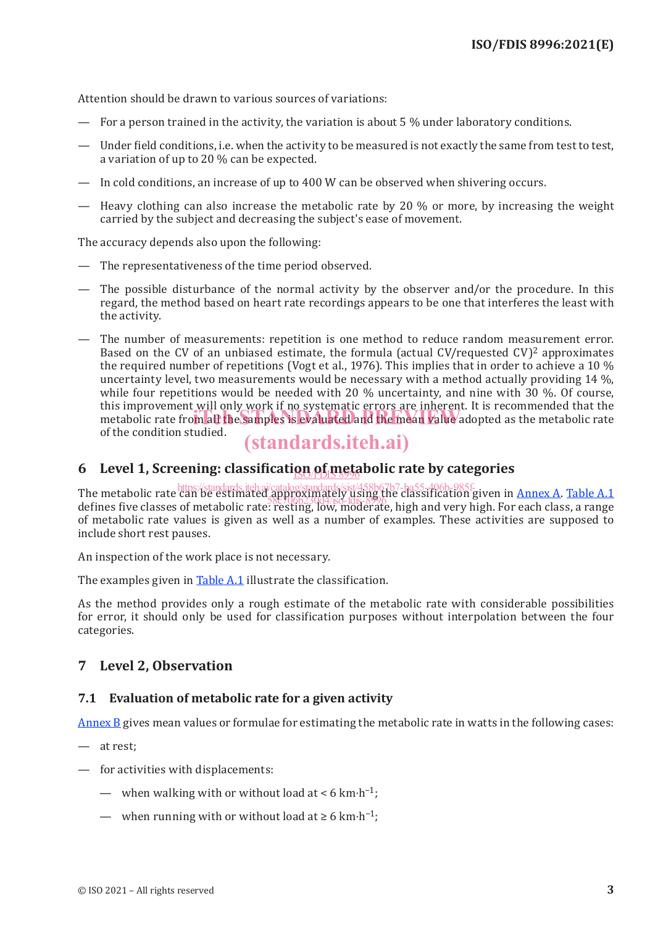Attention should be drawn to various sources of variations:

- For a person trained in the activity, the variation is about 5 % under laboratory conditions.
- Under field conditions, i.e. when the activity to be measured is not exactly the same from test to test, a variation of up to 20 % can be expected.
- In cold conditions, an increase of up to 400 W can be observed when shivering occurs.
- Heavy clothing can also increase the metabolic rate by 20  $\%$  or more, by increasing the weight carried by the subject and decreasing the subject's ease of movement.

The accuracy depends also upon the following:

- The representativeness of the time period observed.
- The possible disturbance of the normal activity by the observer and/or the procedure. In this regard, the method based on heart rate recordings appears to be one that interferes the least with the activity.
- The number of measurements: repetition is one method to reduce random measurement error. Based on the CV of an unbiased estimate, the formula (actual CV/requested CV)<sup>2</sup> approximates the required number of repetitions (Vogt et al., 1976). This implies that in order to achieve a 10 % uncertainty level, two measurements would be necessary with a method actually providing 14 %, while four repetitions would be needed with 20 % uncertainty, and nine with 30 %. Of course, this improvement will only work if no systematic errors are inherent. It is recommended that the this improvement will only work if ho systematic errors are inherent. It is recommended that the metabolic rate metabolic rate of the condition studied.

### (standards.iteh.ai)

### **6** Level 1, Screening: classificati<u>on of meta</u>bolic rate by categories

The metabolic rate thips://standards.iteh.ai/catalog/standards/sist/458b67b7-ba55-406b-985f-<br>The metabolic rate can be estimated appliox indicing using the classification given in <u>Annex A. Table A.1</u> The increasone rate can be estimated apply supposed dange the classification given in **Amics A.** Table A.1 defines five classes of metabolic rate: resting, low, moderate, high and very high. For each class, a range of metabolic rate values is given as well as a number of examples. These activities are supposed to include short rest pauses.

An inspection of the work place is not necessary.

The examples given in Table A.1 illustrate the classification.

As the method provides only a rough estimate of the metabolic rate with considerable possibilities for error, it should only be used for classification purposes without interpolation between the four categories.

#### **7 Level 2, Observation**

#### **7.1 Evaluation of metabolic rate for a given activity**

Annex B gives mean values or formulae for estimating the metabolic rate in watts in the following cases:

- at rest;
- for activities with displacements:
	- when walking with or without load at  $\lt 6$  km⋅h<sup>-1</sup>;
	- when running with or without load at  $\geq 6$  km⋅h<sup>-1</sup>;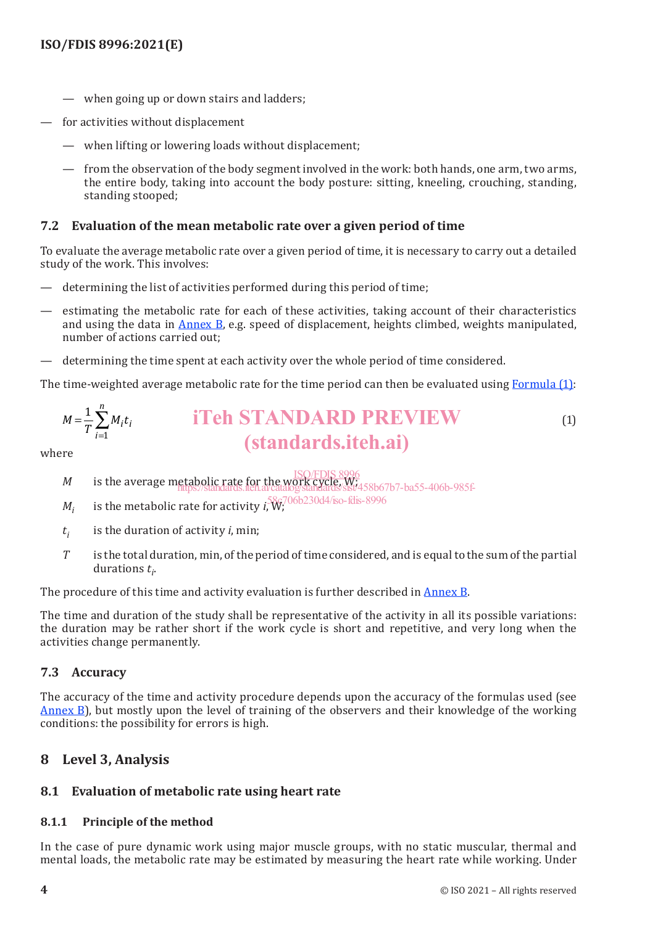- when going up or down stairs and ladders;
- for activities without displacement
	- when lifting or lowering loads without displacement;
	- from the observation of the body segment involved in the work: both hands, one arm, two arms, the entire body, taking into account the body posture: sitting, kneeling, crouching, standing, standing stooped;

#### **7.2 Evaluation of the mean metabolic rate over a given period of time**

To evaluate the average metabolic rate over a given period of time, it is necessary to carry out a detailed study of the work. This involves:

- determining the list of activities performed during this period of time;
- estimating the metabolic rate for each of these activities, taking account of their characteristics and using the data in Annex B, e.g. speed of displacement, heights climbed, weights manipulated, number of actions carried out;
- determining the time spent at each activity over the whole period of time considered.

The time-weighted average metabolic rate for the time period can then be evaluated using Formula (1):

$$
M = \frac{1}{T} \sum_{i=1}^{n} M_i t_i
$$
 **if if if if if if if if if if if if if if if if if if if if if if if if if if if if if if if if if if if if if if if if if if if if if if if if if if if if if if if if if if if if if if if if if if if if if if if if if if if if if if if if if if if if if if if if if if if if if if if if if if if if if if if if if**

where

- *M* is the average metabolic rate for the WORK Cycle, With its the average metabolic rate for the work cycle, Wi
- https://standards.iteh.ai/catalog/standards/sist/458b67b7-ba55-406b-985f-
- $M^{}_i$  is the metabolic rate for activity  $i_{\nu}^{58}$ W;  $^{706\mathrm{b}230\mathrm{d}4/\mathrm{iso}\text{-} \mathrm{fdis}\text{-}8996}$
- *ti* is the duration of activity *i*, min;
- *T* is the total duration, min, of the period of time considered, and is equal to the sum of the partial durations  $t_i$ .

The procedure of this time and activity evaluation is further described in Annex B.

The time and duration of the study shall be representative of the activity in all its possible variations: the duration may be rather short if the work cycle is short and repetitive, and very long when the activities change permanently.

#### **7.3 Accuracy**

The accuracy of the time and activity procedure depends upon the accuracy of the formulas used (see Annex B), but mostly upon the level of training of the observers and their knowledge of the working conditions: the possibility for errors is high.

#### **8 Level 3, Analysis**

#### **8.1 Evaluation of metabolic rate using heart rate**

#### **8.1.1 Principle of the method**

In the case of pure dynamic work using major muscle groups, with no static muscular, thermal and mental loads, the metabolic rate may be estimated by measuring the heart rate while working. Under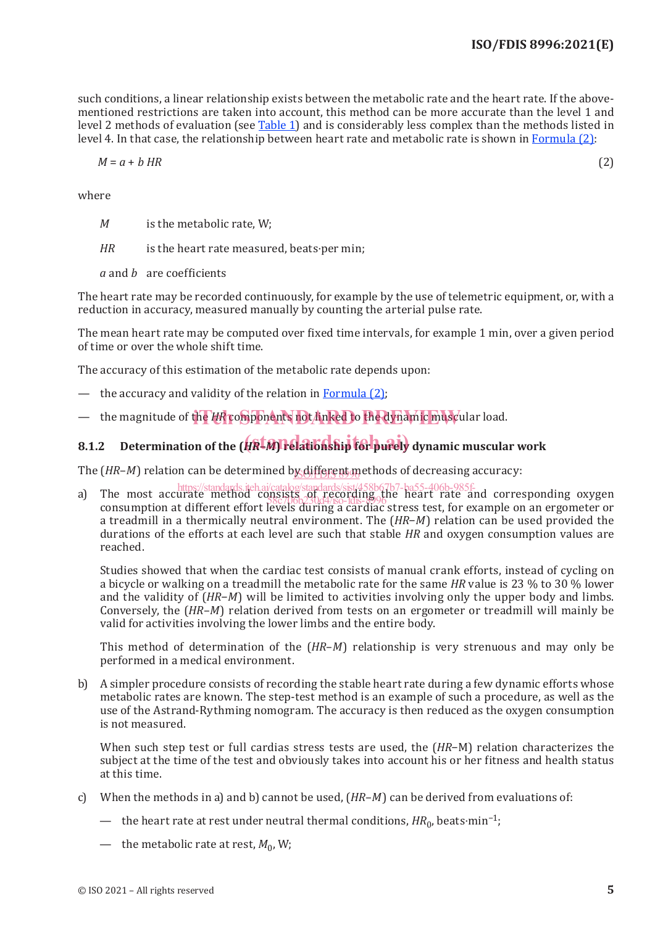such conditions, a linear relationship exists between the metabolic rate and the heart rate. If the abovementioned restrictions are taken into account, this method can be more accurate than the level 1 and level 2 methods of evaluation (see Table 1) and is considerably less complex than the methods listed in level 4. In that case, the relationship between heart rate and metabolic rate is shown in Formula (2):

$$
M = a + b \, HR \tag{2}
$$

where

- *M* is the metabolic rate, W;
- *HR* is the heart rate measured, beats⋅per min;
- *a* and *b* are coefficients

The heart rate may be recorded continuously, for example by the use of telemetric equipment, or, with a reduction in accuracy, measured manually by counting the arterial pulse rate.

The mean heart rate may be computed over fixed time intervals, for example 1 min, over a given period of time or over the whole shift time.

The accuracy of this estimation of the metabolic rate depends upon:

- the accuracy and validity of the relation in Formula (2);
- the magnitude of the HR components not linked to the dynamic muscular load.

## **8.1.2 Determination of the (***HR***–***M***) relationship for purely dynamic muscular work** (standards.iteh.ai)

The (*HR–M*) relation can be determined b<u>y different m</u>ethods of decreasing accuracy:

a) The most accurate method consists of recording the heart rate and corresponding oxygen consumption at different effort levels during a cardiac stress test, for example on an ergometer or a treadmill in a thermically neutral environment. The (*HR*−*M*) relation can be used provided the durations of the efforts at each level are such that stable *HR* and oxygen consumption values are reached. https://standards.iteh.ai/catalog/standards/sist/458b67b7-ba55-406b-985f- $7867066230d4/150-1015-8996$ 

Studies showed that when the cardiac test consists of manual crank efforts, instead of cycling on a bicycle or walking on a treadmill the metabolic rate for the same *HR* value is 23 % to 30 % lower and the validity of (*HR*−*M*) will be limited to activities involving only the upper body and limbs. Conversely, the (*HR*–*M*) relation derived from tests on an ergometer or treadmill will mainly be valid for activities involving the lower limbs and the entire body.

This method of determination of the (*HR*–*M*) relationship is very strenuous and may only be performed in a medical environment.

b) A simpler procedure consists of recording the stable heart rate during a few dynamic efforts whose metabolic rates are known. The step-test method is an example of such a procedure, as well as the use of the Astrand-Rythming nomogram. The accuracy is then reduced as the oxygen consumption is not measured.

When such step test or full cardias stress tests are used, the (*HR*−M) relation characterizes the subject at the time of the test and obviously takes into account his or her fitness and health status at this time.

- c) When the methods in a) and b) cannot be used, (*HR*–*M*) can be derived from evaluations of:
	- the heart rate at rest under neutral thermal conditions, *HR*<sub>0</sub>, beats⋅min<sup>-1</sup>;
	- the metabolic rate at rest,  $M_0$ , W;